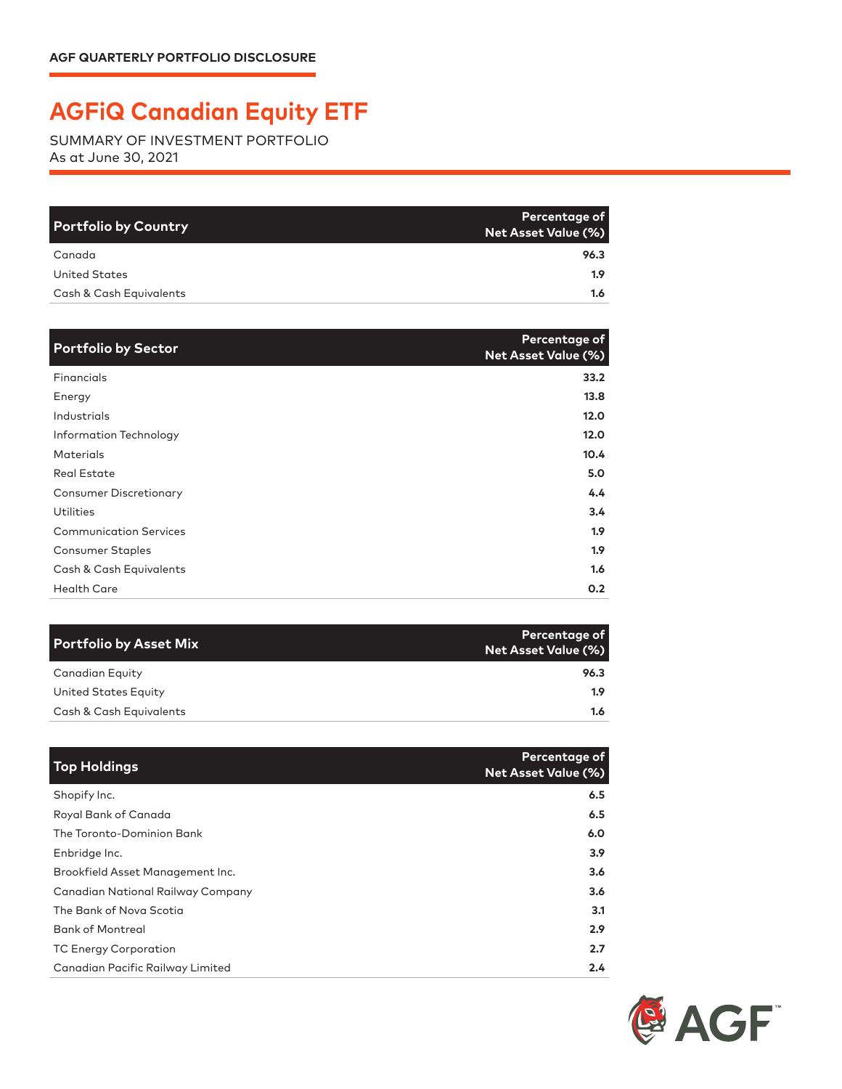## **AGFiQ Canadian Equity ETF**

SUMMARY OF INVESTMENT PORTFOLIO As at June 30, 2021

| <b>Portfolio by Country</b> | Percentage of<br>Net Asset Value (%) |
|-----------------------------|--------------------------------------|
| Canada                      | 96.3                                 |
| United States               | 1.9 <sup>°</sup>                     |
| Cash & Cash Equivalents     | $1.6^{\circ}$                        |

| <b>Portfolio by Sector</b>    | Percentage of<br><b>Net Asset Value (%)</b> |
|-------------------------------|---------------------------------------------|
| Financials                    | 33.2                                        |
| Energy                        | 13.8                                        |
| Industrials                   | 12.0                                        |
| Information Technology        | 12.0                                        |
| <b>Materials</b>              | 10.4                                        |
| <b>Real Estate</b>            | 5.0                                         |
| <b>Consumer Discretionary</b> | 4.4                                         |
| Utilities                     | $3.4^{\circ}$                               |
| <b>Communication Services</b> | 1.9 <sup>2</sup>                            |
| <b>Consumer Staples</b>       | 1.9 <sup>2</sup>                            |
| Cash & Cash Equivalents       | 1.6                                         |
| <b>Health Care</b>            | 0.2                                         |

| Portfolio by Asset Mix  | <b>Percentage of</b><br><b>Net Asset Value (%)</b> |
|-------------------------|----------------------------------------------------|
| Canadian Equity         | 96.3                                               |
| United States Equity    | 1.9                                                |
| Cash & Cash Equivalents | 1.6                                                |

| <b>Top Holdings</b>               | Percentage of<br><b>Net Asset Value (%)</b> |
|-----------------------------------|---------------------------------------------|
| Shopify Inc.                      | 6.5                                         |
| Royal Bank of Canada              | 6.5                                         |
| The Toronto-Dominion Bank         | 6.0                                         |
| Enbridge Inc.                     | 3.9 <sup>2</sup>                            |
| Brookfield Asset Management Inc.  | 3.6                                         |
| Canadian National Railway Company | 3.6                                         |
| The Bank of Nova Scotia           | 3.1                                         |
| <b>Bank of Montreal</b>           | 2.9                                         |
| <b>TC Energy Corporation</b>      | 2.7                                         |
| Canadian Pacific Railway Limited  | 2.4                                         |